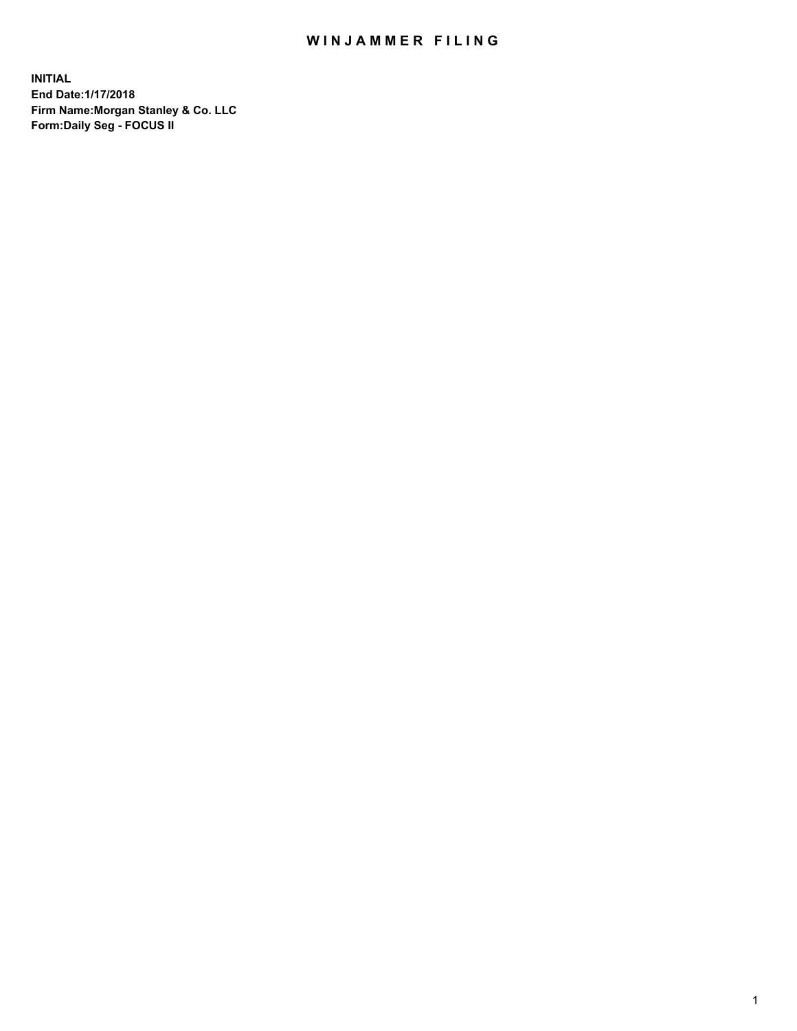## WIN JAMMER FILING

**INITIAL End Date:1/17/2018 Firm Name:Morgan Stanley & Co. LLC Form:Daily Seg - FOCUS II**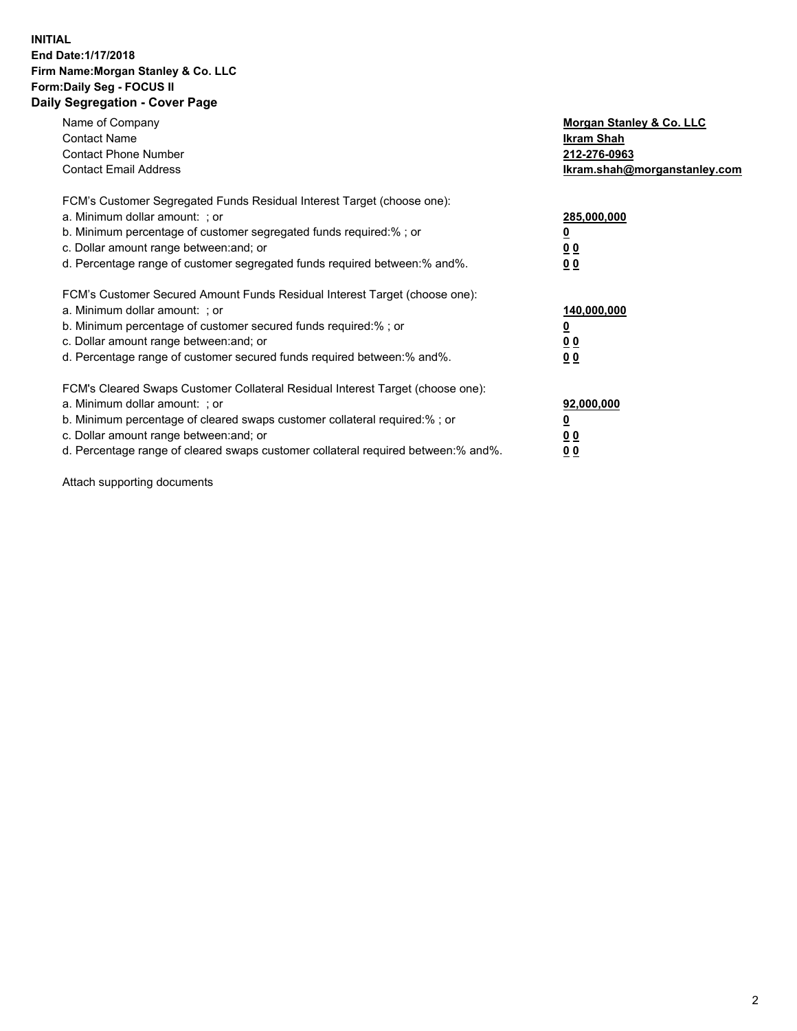#### **INITIAL End Date:1/17/2018 Firm Name:Morgan Stanley & Co. LLC Form:Daily Seg - FOCUS II Daily Segregation - Cover Page**

| Name of Company                                                                   | Morgan Stanley & Co. LLC     |
|-----------------------------------------------------------------------------------|------------------------------|
| <b>Contact Name</b>                                                               | Ikram Shah                   |
| <b>Contact Phone Number</b>                                                       | 212-276-0963                 |
| <b>Contact Email Address</b>                                                      | lkram.shah@morganstanley.com |
| FCM's Customer Segregated Funds Residual Interest Target (choose one):            |                              |
| a. Minimum dollar amount: ; or                                                    | 285,000,000                  |
| b. Minimum percentage of customer segregated funds required:%; or                 |                              |
| c. Dollar amount range between: and; or                                           | 00                           |
| d. Percentage range of customer segregated funds required between: % and %.       | 0 <sub>0</sub>               |
| FCM's Customer Secured Amount Funds Residual Interest Target (choose one):        |                              |
| a. Minimum dollar amount: ; or                                                    | 140,000,000                  |
| b. Minimum percentage of customer secured funds required:%; or                    |                              |
| c. Dollar amount range between: and; or                                           | 00                           |
| d. Percentage range of customer secured funds required between: % and %.          | 0 <sub>0</sub>               |
| FCM's Cleared Swaps Customer Collateral Residual Interest Target (choose one):    |                              |
| a. Minimum dollar amount: ; or                                                    | 92,000,000                   |
| b. Minimum percentage of cleared swaps customer collateral required:% ; or        | <u>0</u>                     |
| c. Dollar amount range between: and; or                                           | <u>00</u>                    |
| d. Percentage range of cleared swaps customer collateral required between:% and%. | 00                           |
|                                                                                   |                              |

Attach supporting documents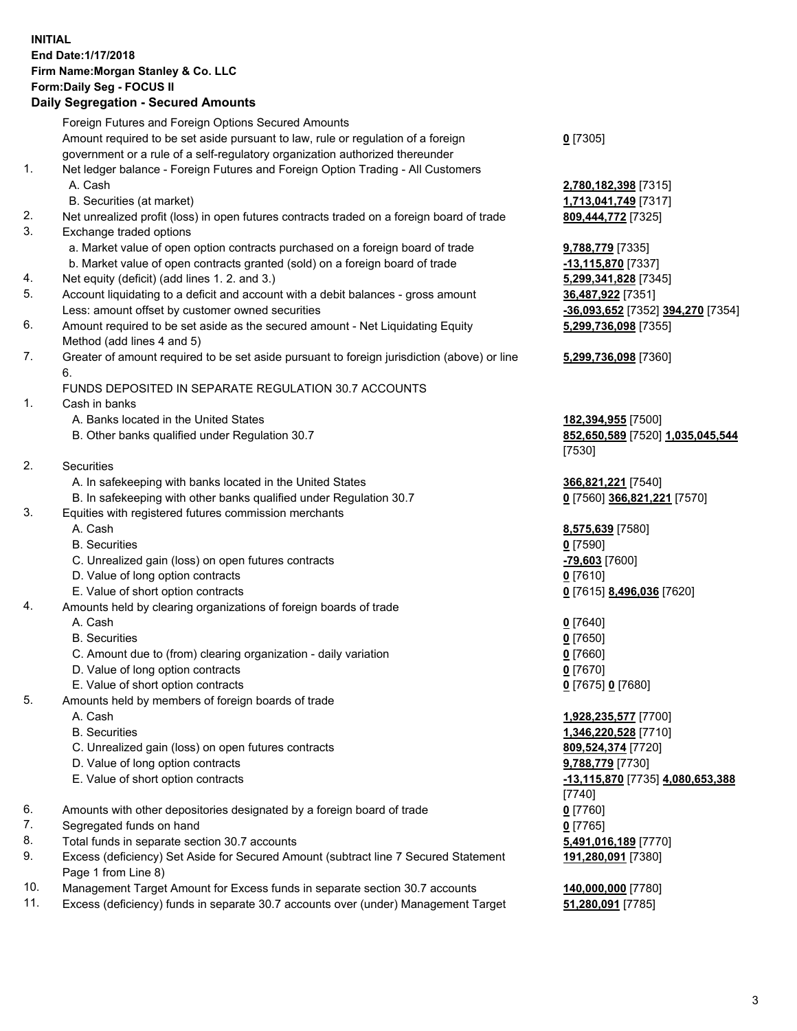## **INITIAL End Date:1/17/2018 Firm Name:Morgan Stanley & Co. LLC Form:Daily Seg - FOCUS II**

# **Daily Segregation - Secured Amounts**

|     | <b>Daily Ocglegation - Occurred Amounts</b>                                                 |                                   |
|-----|---------------------------------------------------------------------------------------------|-----------------------------------|
|     | Foreign Futures and Foreign Options Secured Amounts                                         |                                   |
|     | Amount required to be set aside pursuant to law, rule or regulation of a foreign            | $0$ [7305]                        |
|     | government or a rule of a self-regulatory organization authorized thereunder                |                                   |
| 1.  | Net ledger balance - Foreign Futures and Foreign Option Trading - All Customers             |                                   |
|     | A. Cash                                                                                     | 2,780,182,398 [7315]              |
|     | B. Securities (at market)                                                                   | 1,713,041,749 [7317]              |
| 2.  | Net unrealized profit (loss) in open futures contracts traded on a foreign board of trade   | 809,444,772 [7325]                |
| 3.  | Exchange traded options                                                                     |                                   |
|     | a. Market value of open option contracts purchased on a foreign board of trade              | 9,788,779 [7335]                  |
|     | b. Market value of open contracts granted (sold) on a foreign board of trade                | $-13,115,870$ [7337]              |
| 4.  | Net equity (deficit) (add lines 1.2. and 3.)                                                | 5,299,341,828 [7345]              |
| 5.  | Account liquidating to a deficit and account with a debit balances - gross amount           | 36,487,922 [7351]                 |
|     | Less: amount offset by customer owned securities                                            | -36,093,652 [7352] 394,270 [7354] |
| 6.  | Amount required to be set aside as the secured amount - Net Liquidating Equity              | 5,299,736,098 [7355]              |
|     | Method (add lines 4 and 5)                                                                  |                                   |
| 7.  | Greater of amount required to be set aside pursuant to foreign jurisdiction (above) or line | 5,299,736,098 [7360]              |
|     | 6.                                                                                          |                                   |
|     | FUNDS DEPOSITED IN SEPARATE REGULATION 30.7 ACCOUNTS                                        |                                   |
| 1.  | Cash in banks                                                                               |                                   |
|     | A. Banks located in the United States                                                       | 182,394,955 [7500]                |
|     | B. Other banks qualified under Regulation 30.7                                              | 852,650,589 [7520] 1,035,045,544  |
|     |                                                                                             | [7530]                            |
| 2.  | Securities                                                                                  |                                   |
|     | A. In safekeeping with banks located in the United States                                   | 366,821,221 [7540]                |
|     | B. In safekeeping with other banks qualified under Regulation 30.7                          | 0 [7560] 366,821,221 [7570]       |
| 3.  | Equities with registered futures commission merchants                                       |                                   |
|     | A. Cash                                                                                     | 8,575,639 [7580]                  |
|     | <b>B.</b> Securities                                                                        | $0$ [7590]                        |
|     | C. Unrealized gain (loss) on open futures contracts                                         | <mark>-79,603</mark> [7600]       |
|     | D. Value of long option contracts                                                           | $0$ [7610]                        |
|     | E. Value of short option contracts                                                          | 0 [7615] 8,496,036 [7620]         |
| 4.  | Amounts held by clearing organizations of foreign boards of trade                           |                                   |
|     | A. Cash                                                                                     | $0$ [7640]                        |
|     | <b>B.</b> Securities                                                                        | $0$ [7650]                        |
|     | C. Amount due to (from) clearing organization - daily variation                             | $0$ [7660]                        |
|     | D. Value of long option contracts                                                           | $0$ [7670]                        |
|     | E. Value of short option contracts                                                          | 0 [7675] 0 [7680]                 |
| 5.  | Amounts held by members of foreign boards of trade                                          |                                   |
|     | A. Cash                                                                                     | 1,928,235,577 [7700]              |
|     | <b>B.</b> Securities                                                                        | 1,346,220,528 [7710]              |
|     | C. Unrealized gain (loss) on open futures contracts                                         | 809,524,374 [7720]                |
|     | D. Value of long option contracts                                                           | 9,788,779 [7730]                  |
|     | E. Value of short option contracts                                                          | -13,115,870 [7735] 4,080,653,388  |
|     |                                                                                             | [7740]                            |
| 6.  | Amounts with other depositories designated by a foreign board of trade                      | $0$ [7760]                        |
| 7.  | Segregated funds on hand                                                                    | $0$ [7765]                        |
| 8.  | Total funds in separate section 30.7 accounts                                               | 5,491,016,189 [7770]              |
| 9.  | Excess (deficiency) Set Aside for Secured Amount (subtract line 7 Secured Statement         | 191,280,091 [7380]                |
|     | Page 1 from Line 8)                                                                         |                                   |
| 10. | Management Target Amount for Excess funds in separate section 30.7 accounts                 | 140,000,000 [7780]                |

11. Excess (deficiency) funds in separate 30.7 accounts over (under) Management Target **51,280,091** [7785]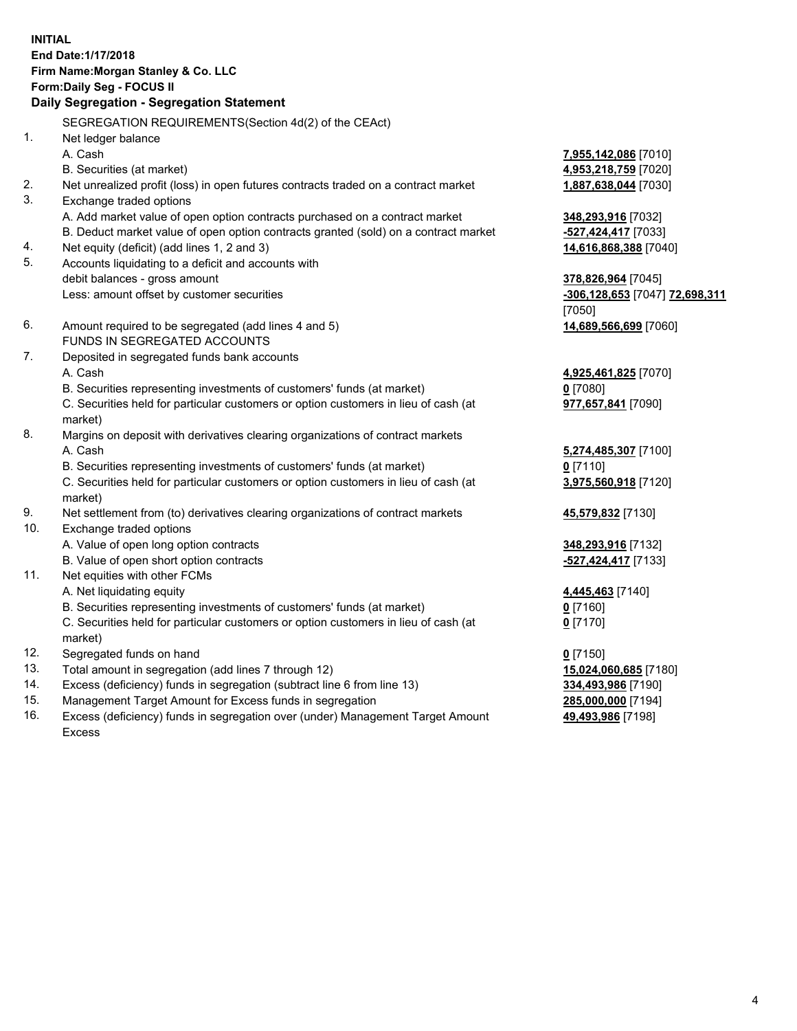## **INITIAL End Date:1/17/2018 Firm Name:Morgan Stanley & Co. LLC Form:Daily Seg - FOCUS II**

# **Daily Segregation - Segregation Statement**

SEGREGATION REQUIREMENTS(Section 4d(2) of the CEAct) 1. Net ledger balance A. Cash **7,955,142,086** [7010] B. Securities (at market) **4,953,218,759** [7020] 2. Net unrealized profit (loss) in open futures contracts traded on a contract market **1,887,638,044** [7030] 3. Exchange traded options A. Add market value of open option contracts purchased on a contract market **348,293,916** [7032] B. Deduct market value of open option contracts granted (sold) on a contract market **-527,424,417** [7033] 4. Net equity (deficit) (add lines 1, 2 and 3) **14,616,868,388** [7040] 5. Accounts liquidating to a deficit and accounts with debit balances - gross amount **378,826,964** [7045] Less: amount offset by customer securities **-306,128,653** [7047] **72,698,311** [7050] 6. Amount required to be segregated (add lines 4 and 5) **14,689,566,699** [7060] FUNDS IN SEGREGATED ACCOUNTS 7. Deposited in segregated funds bank accounts A. Cash **4,925,461,825** [7070] B. Securities representing investments of customers' funds (at market) **0** [7080] C. Securities held for particular customers or option customers in lieu of cash (at market) 8. Margins on deposit with derivatives clearing organizations of contract markets A. Cash **5,274,485,307** [7100] B. Securities representing investments of customers' funds (at market) **0** [7110] C. Securities held for particular customers or option customers in lieu of cash (at market) 9. Net settlement from (to) derivatives clearing organizations of contract markets **45,579,832** [7130] 10. Exchange traded options A. Value of open long option contracts **348,293,916** [7132] B. Value of open short option contracts **-527,424,417** [7133] 11. Net equities with other FCMs A. Net liquidating equity **4,445,463** [7140] B. Securities representing investments of customers' funds (at market) **0** [7160] C. Securities held for particular customers or option customers in lieu of cash (at market) **0** [7170] 12. Segregated funds on hand **0** [7150] 13. Total amount in segregation (add lines 7 through 12) **15,024,060,685** [7180] 14. Excess (deficiency) funds in segregation (subtract line 6 from line 13) **334,493,986** [7190] 15. Management Target Amount for Excess funds in segregation **285,000,000** [7194]

16. Excess (deficiency) funds in segregation over (under) Management Target Amount Excess

**977,657,841** [7090]

**3,975,560,918** [7120]

**49,493,986** [7198]